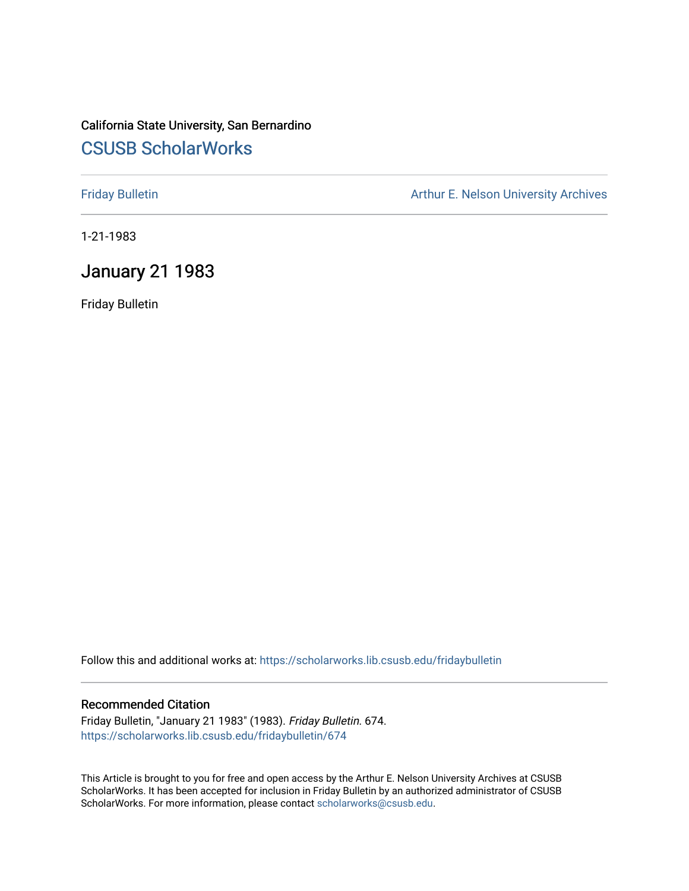# California State University, San Bernardino [CSUSB ScholarWorks](https://scholarworks.lib.csusb.edu/)

[Friday Bulletin](https://scholarworks.lib.csusb.edu/fridaybulletin) **Arthur E. Nelson University Archives** Arthur E. Nelson University Archives

1-21-1983

## January 21 1983

Friday Bulletin

Follow this and additional works at: [https://scholarworks.lib.csusb.edu/fridaybulletin](https://scholarworks.lib.csusb.edu/fridaybulletin?utm_source=scholarworks.lib.csusb.edu%2Ffridaybulletin%2F674&utm_medium=PDF&utm_campaign=PDFCoverPages)

## Recommended Citation

Friday Bulletin, "January 21 1983" (1983). Friday Bulletin. 674. [https://scholarworks.lib.csusb.edu/fridaybulletin/674](https://scholarworks.lib.csusb.edu/fridaybulletin/674?utm_source=scholarworks.lib.csusb.edu%2Ffridaybulletin%2F674&utm_medium=PDF&utm_campaign=PDFCoverPages)

This Article is brought to you for free and open access by the Arthur E. Nelson University Archives at CSUSB ScholarWorks. It has been accepted for inclusion in Friday Bulletin by an authorized administrator of CSUSB ScholarWorks. For more information, please contact [scholarworks@csusb.edu.](mailto:scholarworks@csusb.edu)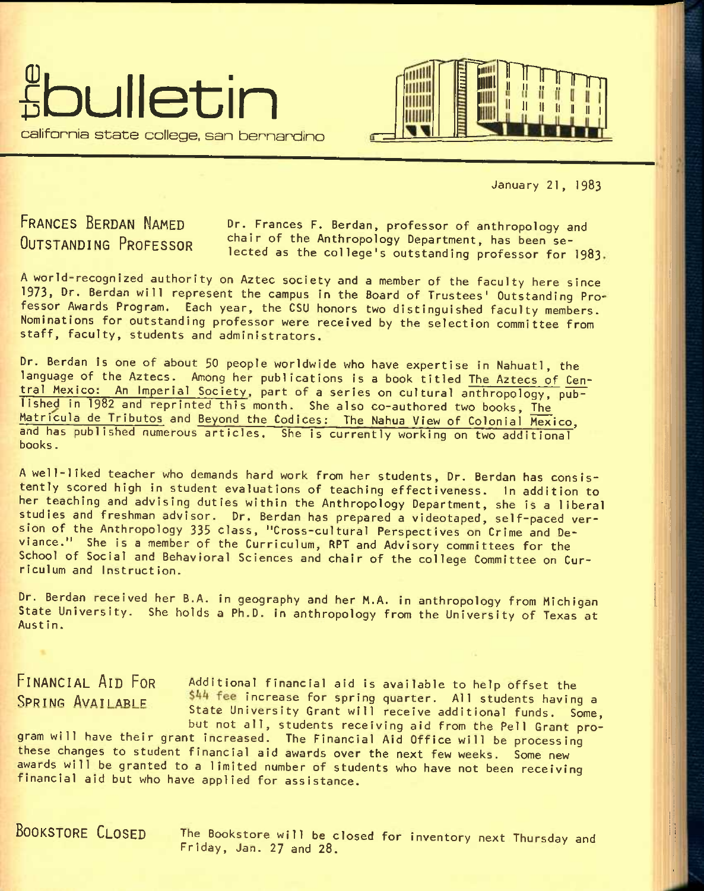



January 21, I983

FRANCES BERDAN NAMED OUTSTANDING PROFESSOR

Dr. Frances F. Berdan, professor of anthropology and chair of the Anthropology Department, has been selected as the college's outstanding professor for I983

A wor1d-recognized authority on Aztec society and a member of the faculty here since 1973, Dr. Berdan will represent the campus in the Board of Trustees' Outstanding Professor Awards Program, Each year, the CSU honors two distinguished faculty members. Nominations for outstanding professor were received by the selection committee from staff, faculty, students and administrators.

Dr. Berdan is one of about 50 people worldwide who have expertise in Nahuatl, the language of the Aztecs. Among her publications is a book titled The Aztecs of Central Mexico: An Imperial Society, part of a series on cultural anthropology, published in 1982 and reprinted this month. She also co-authored two books. The Matricula de Tributos and Beyond the Codices: The Nahua View of Colonial Mexico, and has published numerous articles. She is currently working on two additional books.

A well-liked teacher who demands hard work from her students, Dr. Berdan has consistently scored high in student evaluations of teaching effectiveness. In addition to her teaching and advising duties within the Anthropology Department, she is a liberal studies and freshman advisor. Dr. Berdan has prepared a videotaped, self-paced version of the Anthropology 335 class, "Cross-cultural Perspectives on Crime and Deviance." She is a member of the Curriculum, RPT and Advisory committees for the School of Social and Behavioral Sciences and chair of the college Committee on Curriculum and Instruction.

Dr. Berdan received her B.A. in geography and her M.A. in anthropology from Michigan State University. She holds a Ph.D. in anthropology from the University of Texas at<br>Austin.

FINANCIAL AID FOR Additional financial aid is available to help offset the SPRING AVAILABLE 544 fee increase for spring quarter. All students having a State University Grant will receive additional funds. Some, but not all, students receiving aid from the Pell Grant pro-

gram will have their grant increased. The Financial Aid Office will be processing these changes to student financial aid awards over the next few weeks. Some new awards will be granted to a limited number of students who have not been receiving financial aid but who have applied for assistance.

BOOKSTORE CLOSED The Bookstore will be closed for Inventory next Thursday and Friday, Jan. 27 and 28.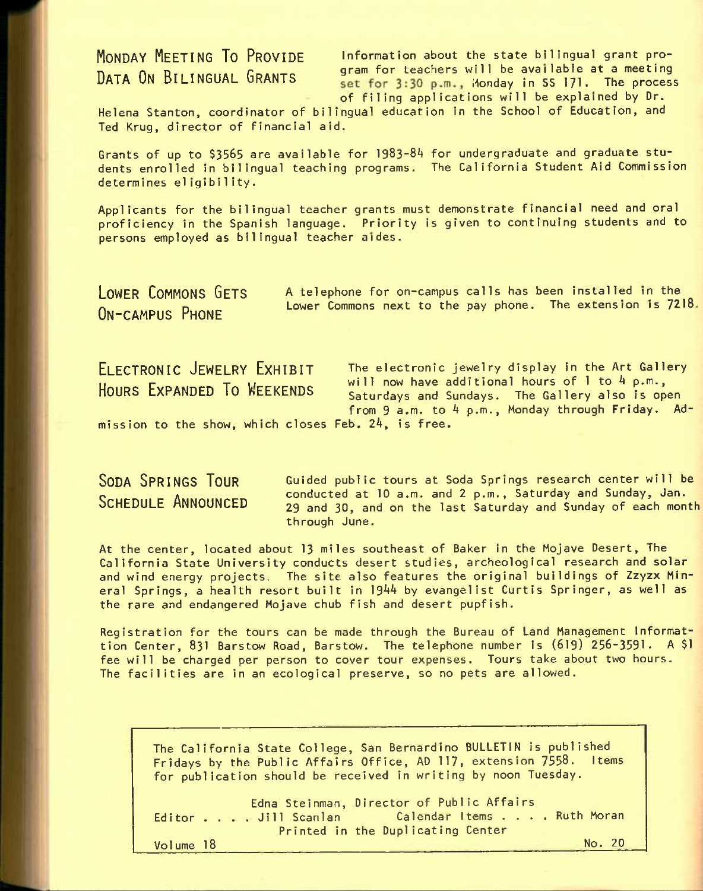MONDAY MEETING TO PROVIDE Information about the state bilingual grant pro-The model of the section of the section of the section of the process will be available at a meeting set for 3:30 p.m., Monday in SS 171. The process of filing applications will be explained by Dr.

Helena Stanton, coordinator of bilingual education in the School of Education, and Ted Krug, director of financial aid.

Grants of up to \$3565 are available for 1983-84 for undergraduate and graduate students enrolled in bilingual teaching programs. The California Student Aid Commission determines eligibility.

Applicants for the bilingual teacher grants must demonstrate financial need and oral proficiency in the Spanish language. Priority is given to continuing students and to persons employed as bilingual teacher aides.

ON-CAMPUS PHONE

LOWER COMMONS GETS A telephone for on-campus calls has been installed in the Lower Commons next to the pay phone. The extension is 7218.

ELECTRONIC JEWELRY EXHIBIT The electronic jewelry display in the Art Gallery HOURS EXPANDED TO WEEKENDS will now have additional hours of 1 to 4 p.m., Saturdays and Sundays. The Gallery also is open from  $9$  a.m. to  $4$  p.m., Monday through Friday. Ad-

mission to the show, which closes Feb. 24, is free.

SODA SPRINGS TOUR SCHEDULE ANNOUNCED

Guided public tours at Soda Springs research center will be conducted at 10 a.m. and 2 p.m., Saturday and Sunday, Jan. 29 and 30, and on the last Saturday and Sunday of each month through June.

At the center, located about 13 miles southeast of Baker in the Mojave Desert, The California State University conducts desert studies, archeological research and solar and wind energy projects. The site also features the original buildings of Zzyzx Mineral Springs, a health resort built in 1944 by evangelist Curtis Springer, as well as the rare and endangered Mojave chub fish and desert pupfish.

Registration for the tours can be made through the Bureau of Land Management Informattion Center, 831 Barstow Road, Barstow. The telephone number is (619) 256-3591. A \$1 fee will be charged per person to cover tour expenses. Tours take about two hours. The facilities are in an ecological preserve, so no pets are allowed.

The California State College, San Bernardino BULLETIN is published Fridays by the Public Affairs Office, AD 117, extension 7558. Items for publication should be received in writing by noon Tuesday.

Edna Steinman, Director of Public Affairs<br>Editor . . . . Jill Scanlan Calendar Items . . . . Ruth Moran Editor . . . . Jill Scanlan . . . . Calendar Items .<br>Printed in the Duplicating Center Volume 18 No. 20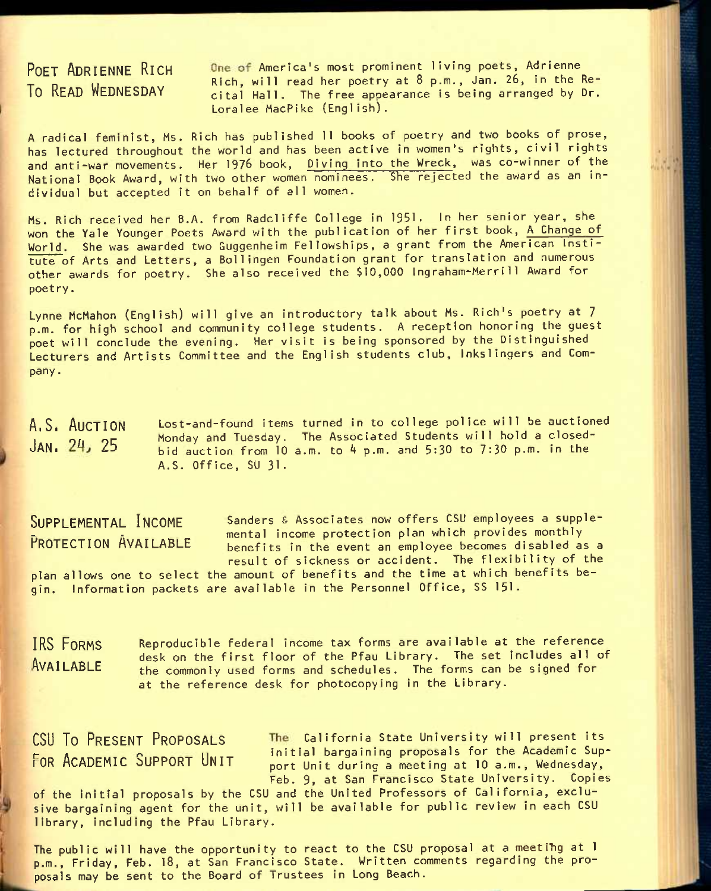POET ADRIENNE RICH One of America's most prominent living poets, Adrienne Rich, will read her poetry at 8 p.m., Jan. 26, in the Re-<br>To READ WEDNESDAY aital Hall The free appearance is being arranged by Dr. cital Hall. The free appearance is being arranged by Dr. Loralee MacPike (English).

A radical feminist, Ms. Rich has published 11 books of poetry and two books of prose, has lectured throughout the world and has been active in women's rights, civil rights and anti-war movements. Her 1976 book, Diving Into the Wreck, was co-winner of the National Book Award, with two other women nominees. She rejected the award as an individual but accepted it on behalf of all women.

Ms. Rich received her B.A. from Radcliffe College in 1951. In her senior year, she won the Yale Younger Poets Award with the publication of her first book, A Change of World. She was awarded two Guggenheim Fellowships, a grant from the American Institute of Arts and Letters, a Bollingen Foundation grant for translation and numerous other awards for poetry. She also received the \$10,000 Ingraham-Merri11 Award for poetry.

Lynne McMahon (English) will give an introductory talk about Ms. Rich's poetry at 7 p.m. for high school and community college students. A reception honoring the guest poet will conclude the evening. Her visit is being sponsored by the Distinguished Lecturers and Artists Committee and the English students club, Inkslingers and Company.

A.S. AUCTION Lost-and-found items turned in to college police will be auctioned JAN, 24, 25 Monday and Tuesday. The Associated Students will hold a closed-<br>JAN, 24, 25 bid auction from 10 a.m. to 4 n.m. and 5:30 to 7:30 p.m. in the bid auction from 10 a.m. to 4 p.m. and 5:30 to 7:30 p.m. in the A.S. Office, SU 31.

SUPPLEMENTAL INCOME Sanders & Associates now offers CSU employees a suppleour Eureania income execution plan which provides monthly<br>PROTECTION AVAILABLE bonefits in the event an employee becomes disabled as benefits in the event an employee becomes disabled as a result of sickness or accident. The flexibility of the plan allows one to select the amount of benefits and the time at which benefits begin. Information packets are available in the Personnel Office, SS 151.

IRS FORMS Reproducible federal income tax forms are available at the reference AVAILABLE desk on the first floor of the Pfau Library. The set includes all of <code>AVAILABLE</code>  $\rm_{the\,\, common\,ly\,\,used\,\,forms\,\, and\,\,schedules.\,\, The\,\,forms\,\,can\,\,be\,\,signed\,\,for}$ at the reference desk for photocopying in the Library.

CSU To PRESENT PROPOSALS The California State University will present its **FOR ACADEMIC SUPPORT UNIT** initial bargaining proposals for the Academic Sup-<br>FOR ACADEMIC SUPPORT UNIT port Unit during a meeting at 10 a.m., Wednesday, Feb. 9, at San Francisco State University. Copies

of the initial proposals by the CSU and the United Professors of California, exclusive bargaining agent for the unit, will be available for public review in each CSU library, including the Pfau Library.

The public will have the opportunity to react to the CSU proposal at a meeting at I p.m., Friday, Feb. 18, at San Francisco State. Written comments regarding the proposals may be sent to the Board of Trustees in Long Beach.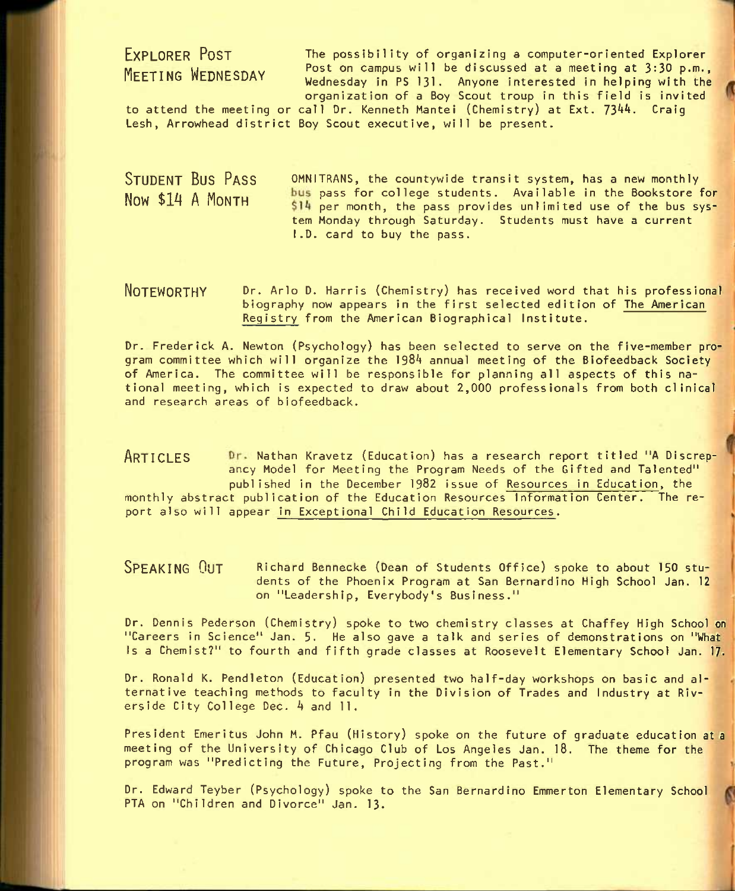# EXPLORER POST MEETING WEDNESDAY

The possibility of organizing a computer-oriented Explorer Post on campus will be discussed at a meeting at 3:30 p.m., Wednesday in PS 131. Anyone interested in helping with the organization of a Boy Scout troup in this field is Invited

to attend the meeting or call Dr. Kenneth Mantei (Chemistry) at Ext. 7344. Craig Lesh, Arrowhead district Boy Scout executive, will be present.

STUDENT BUS PASS OMNITRANS, the countywide transit system, has a new monthly Now  $$14$  A Month bus pass for college students. Available in the Bookstore for  $$14$  per month, the pass provides unlimited use of the bus system Monday through Saturday. Students must have a current I.D. card to buy the pass.

NOTEWORTHY Or. Arlo D. Harris (chemistry) has received word that his professional biography now appears In the first selected edition of The American Registry from the American Biographical Institute.

Dr. Frederick A. Newton (Psychology) has been selected to serve on the five-member program committee which will organize the 1984 annual meeting of the Biofeedback Society of America. The committee will be responsible for planning all aspects of this national meeting, which is expected to draw about 2,000 professionals from both clinical and research areas of biofeedback.

ARTICLES Dr. Nathan Kravetz (Education) has a research report titled "A Discrepancy Model for Meeting the Program Needs of the Gifted and Talented" published in the December 1982 Issue of Resources in Education, the monthly abstract publication of the Education Resources Information Center. The report also will appear In Exceptional Child Education Resources.

SPEAKING OUT Richard Bennecke (Dean of Students Office) spoke to about 150 students of the Phoenix Program at San Bernardino High School Jan. 12 on "Leadership, Everybody's Business."

Dr. Dennis Pederson (Chemistry) spoke to two chemistry classes at Chaffey High School on "Careers In Science" Jan. 5. He also gave a talk and series of demonstrations on "What Is a Chemist?" to fourth and fifth grade classes at Roosevelt Elementary School Jan. 17.

Dr. Ronald K. Pendleton (Education) presented two half-day workshops on basic and alternative teaching methods to faculty in the Division of Trades and Industry at Riverside City College Dec. 4 and 11.

President Emeritus John M. Pfau (History) spoke on the future of graduate education at a meeting of the University of Chicago Club of Los Angeles Jan. 18. The theme for the program was "Predicting the Future, Projecting from the Past."

Dr. Edward Teyber (Psychology) spoke to the San Bernardino Emmerton Elementary School PTA on "Children and Divorce" Jan. 13.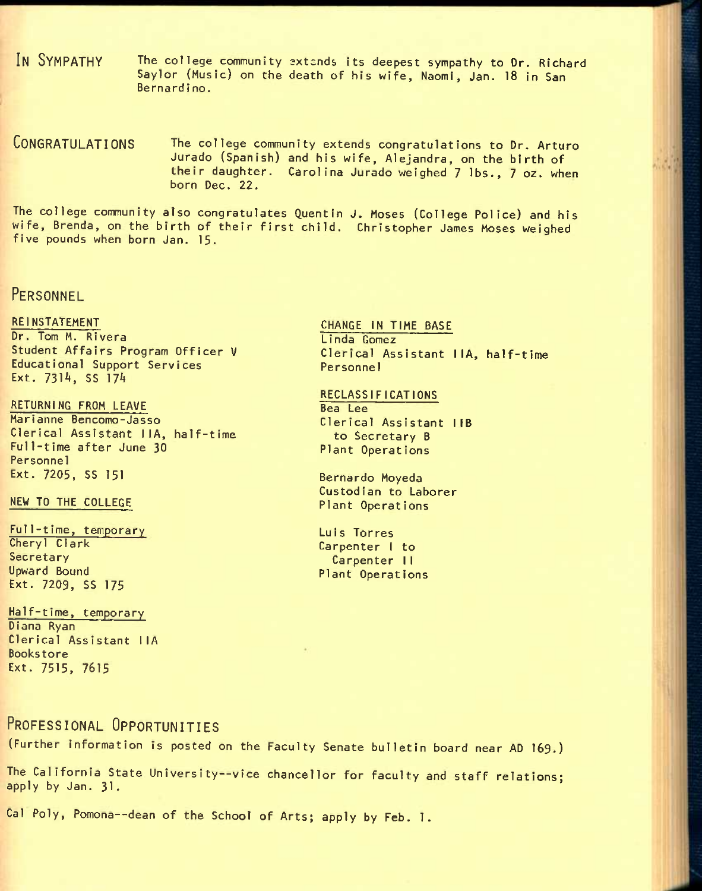IN SYMPATHY The college community extends its deepest sympathy to Dr. Richard Saylor (Music) on the death of his wife, Naomi, Jan. 18 in San Bernardino.

CONGRATULATIONS The college community extends congratulations to Dr. Arturo Jurado (Spanish) and his wife, Alejandra, on the birth of their daughter. Carolina Jurado weighed 7 lbs., 7 oz. when born Dec. 22.

The college community also congratulates Quentin J. Moses (College Police) and his wife, Brenda, on the birth of their first child. Christopher James Moses weighed five pounds when born Jan. 15.

## PERSONNEL

### **REINSTATEMENT**

Dr. Tom M. Rivera Student Affairs Program Officer V Educational Support Services Ext. 7314, SS 174

RETURNING FROM LEAVE Marianne Bencomo-Jasso Clerical Assistant IIA, half-time Full-time after June 30 Personnel Ext. 7205, SS 151

NEW TO THE COLLEGE

Ful1-time, temporary Cheryl Clark Secretary Upward Bound Ext. 7209, SS 175

Half-time, temporary Diana Ryan Clerical Assistant IIA Bookstore Ext. 7515, 7615

CHANGE IN TIME BASE Linda Gomez Clerical Assistant IIA, half-time Personnel

### RECLASSIFICATIONS Bea Lee

Clerical Assistant IIB to Secretary B Plant Operations

Bernardo Moyeda Custodian to Laborer Plant Operations

Luis Torres Carpenter I to Carpenter 11 Plant Operations

## PROFESSIONAL OPPORTUNITIES

(Further information is posted on the Faculty Senate bulletin board near AD 169.)

The California State University--vice chancellor for faculty and staff relations; apply by Jan. 31.

Cal Poly, Pomona--dean of the School of Arts; apply by Feb. 1.